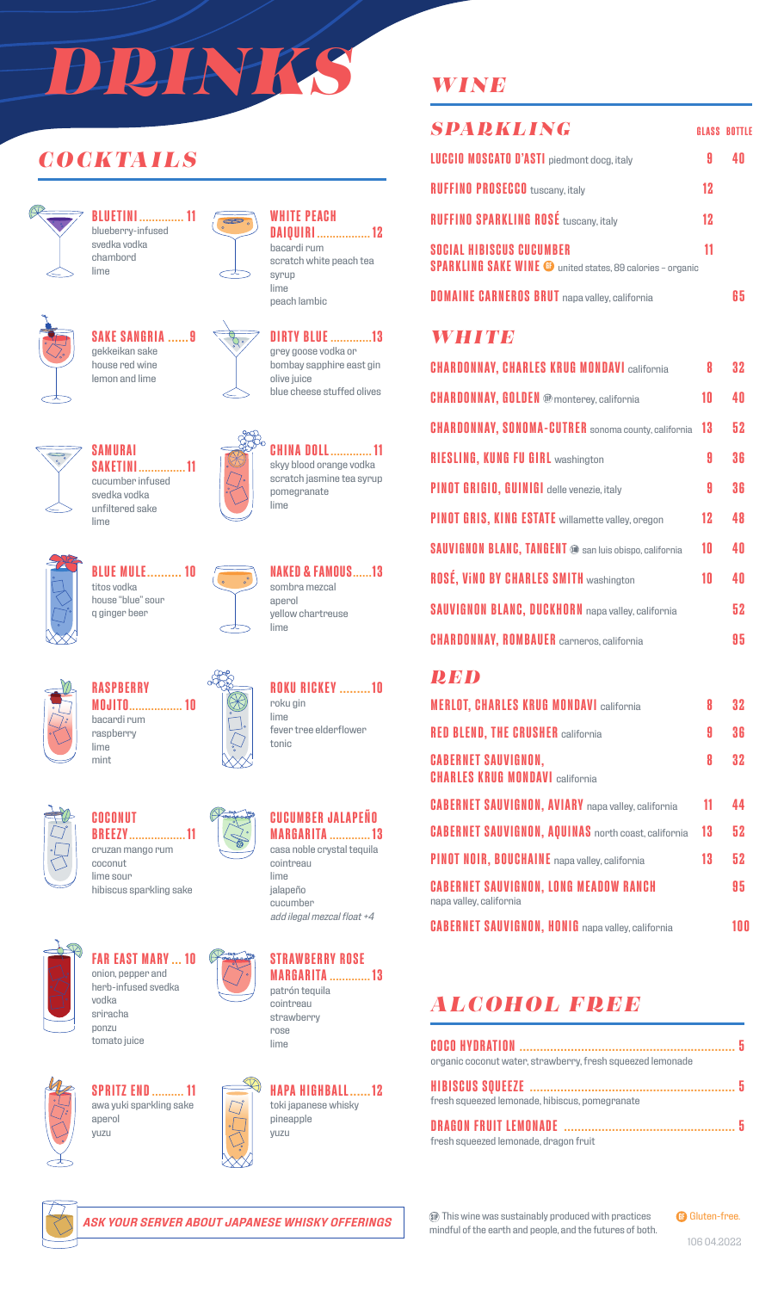# *DRINKS*

## *COCKTAILS*



**BLUETINI .............. 11** blueberry-infused svedka vodka chambord lime



## **SAKE SANGRIA ......9** gekkeikan sake



**SAKETINI............... 11** cucumber infused svedka vodka unfiltered sake





#### **WHITE PEACH DAIQUIRI ................. 12** bacardi rum

scratch white peach tea syrup lime peach lambic



grey goose vodka or bombay sapphire east gin olive juice blue cheese stuffed olives



 $\infty$ 

**CHINA DOLL............. 11** skyy blood orange vodka scratch jasmine tea syrup pomegranate lime



**BLUE MULE.......... 10** titos vodka house "blue" sour q ginger beer

**SAMURAI**

lime



**NAKED & FAMOUS......13** sombra mezcal aperol yellow chartreuse lime

**ROKU RICKEY .........10**

fever tree elderflower

roku gin lime

tonic



**RASPBERRY MOJITO................. 10** bacardi rum raspberry lime mint



**COCONUT BREEZY.................. 11** cruzan mango rum coconut lime sour



hibiscus sparkling sake **FAR EAST MARY ... 10** onion, pepper and

herb-infused svedka vodka sriracha ponzu tomato juice



**SPRITZ END.......... 11** awa yuki sparkling sake aperol yuzu



**STRAWBERRY ROSE MARGARITA ............. 13**

patrón tequila cointreau strawberry rose lime



## *WINE*

| <b>SPARKLING</b>                                                                                     |    | <b>GLASS BOTTLE</b> |
|------------------------------------------------------------------------------------------------------|----|---------------------|
| <b>LUCCIO MOSCATO D'ASTI</b> piedmont docg, italy                                                    | 9  |                     |
| <b>RUFFINO PROSECCO</b> tuscany, italy                                                               | 12 |                     |
| <b>RUFFINO SPARKLING ROSÉ tuscany, italy</b>                                                         | 12 |                     |
| <b>SOCIAL HIBISCUS CUCUMBER</b><br><b>SPARKLING SAKE WINE @</b> united states, 89 calories - organic | 11 |                     |
| <b>DOMAINE CARNEROS BRUT</b> napa valley, california                                                 |    | li h                |

## *WHITE*

| <b>CHARDONNAY, CHARLES KRUG MONDAVI california</b>            | 8  | 32 |
|---------------------------------------------------------------|----|----|
| <b>CHARDONNAY, GOLDEN @</b> monterey, california              | 10 | 40 |
| <b>CHARDONNAY, SONOMA-CUTRER</b> sonoma county, california    | 13 | 52 |
| <b>RIESLING, KUNG FU GIRL washington</b>                      | 9  | 36 |
| PINOT GRIGIO, GUINIGI delle venezie, italy                    | 9  | 36 |
| PINOT GRIS, KING ESTATE willamette valley, oregon             | 12 | 48 |
| <b>SAUVIGNON BLANC, TANGENT @ san luis obispo, california</b> | 10 | 40 |
| <b>ROSÉ, VINO BY CHARLES SMITH washington</b>                 | 10 | 40 |
| <b>SAUVIGNON BLANC, DUCKHORN</b> napa valley, california      |    | 52 |
| <b>CHARDONNAY, ROMBAUER</b> carneros, california              |    | 95 |

## *RED*

| <b>MERLOT, CHARLES KRUG MONDAVI california</b>                          | 8  | 32 |
|-------------------------------------------------------------------------|----|----|
| <b>RED BLEND, THE CRUSHER california</b>                                | 9  | 36 |
| <b>CABERNET SAUVIGNON,</b><br><b>CHARLES KRUG MONDAVI california</b>    | 8  | 32 |
| <b>CABERNET SAUVIGNON, AVIARY</b> napa valley, california               | 11 | 44 |
| <b>CABERNET SAUVIGNON, AQUINAS</b> north coast, california              | 13 | 52 |
| PINOT NOIR, BOUCHAINE napa valley, california                           | 13 | 52 |
| <b>CABERNET SAUVIGNON, LONG MEADOW RANCH</b><br>napa valley, california |    | 95 |
| <b>CABERNET SAUVIGNON, HONIG</b> napa valley, california                |    | 00 |

## *ALCOHOL FREE*

| organic coconut water, strawberry, fresh squeezed lemonade |  |
|------------------------------------------------------------|--|
|                                                            |  |
| fresh squeezed lemonade, hibiscus, pomegranate             |  |
|                                                            |  |
| fresh squeezed lemonade, dragon fruit                      |  |



*ASK YOUR SERVER ABOUT JAPANESE WHISKY OFFERINGS*

This wine was sustainably produced with practices mindful of the earth and people, and the futures of both.